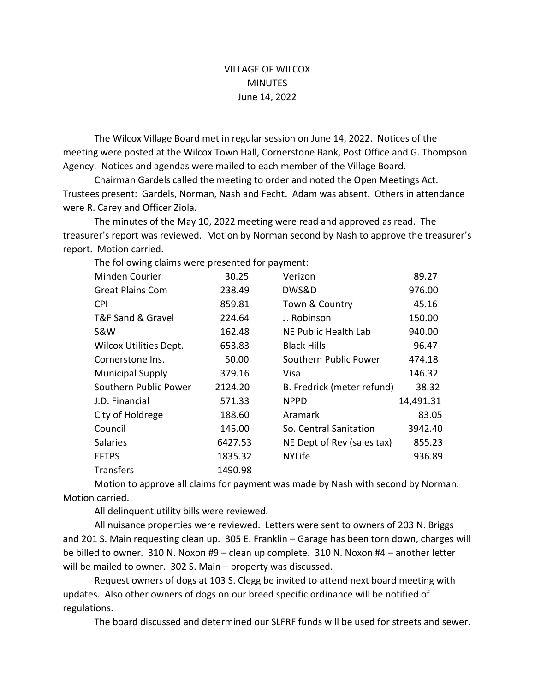## VILLAGE OF WILCOX **MINUTES** June 14, 2022

The Wilcox Village Board met in regular session on June 14, 2022. Notices of the meeting were posted at the Wilcox Town Hall, Cornerstone Bank, Post Office and G. Thompson Agency. Notices and agendas were mailed to each member of the Village Board.

Chairman Gardels called the meeting to order and noted the Open Meetings Act. Trustees present: Gardels, Norman, Nash and Fecht. Adam was absent. Others in attendance were R. Carey and Officer Ziola.

The minutes of the May 10, 2022 meeting were read and approved as read. The treasurer's report was reviewed. Motion by Norman second by Nash to approve the treasurer's report. Motion carried.

| Minden Courier                | 30.25   | Verizon                    | 89.27     |
|-------------------------------|---------|----------------------------|-----------|
| <b>Great Plains Com</b>       | 238.49  | DWS&D                      | 976.00    |
| CPI                           | 859.81  | Town & Country             | 45.16     |
| T&F Sand & Gravel             | 224.64  | J. Robinson                | 150.00    |
| S&W                           | 162.48  | NE Public Health Lab       | 940.00    |
| <b>Wilcox Utilities Dept.</b> | 653.83  | <b>Black Hills</b>         | 96.47     |
| Cornerstone Ins.              | 50.00   | Southern Public Power      | 474.18    |
| <b>Municipal Supply</b>       | 379.16  | Visa                       | 146.32    |
| Southern Public Power         | 2124.20 | B. Fredrick (meter refund) | 38.32     |
| J.D. Financial                | 571.33  | <b>NPPD</b>                | 14,491.31 |
| City of Holdrege              | 188.60  | Aramark                    | 83.05     |
| Council                       | 145.00  | So. Central Sanitation     | 3942.40   |
| <b>Salaries</b>               | 6427.53 | NE Dept of Rev (sales tax) | 855.23    |
| <b>EFTPS</b>                  | 1835.32 | <b>NYLife</b>              | 936.89    |
| Transfers                     | 1490.98 |                            |           |

The following claims were presented for payment:

Motion to approve all claims for payment was made by Nash with second by Norman. Motion carried.

All delinquent utility bills were reviewed.

All nuisance properties were reviewed. Letters were sent to owners of 203 N. Briggs and 201 S. Main requesting clean up. 305 E. Franklin – Garage has been torn down, charges will be billed to owner. 310 N. Noxon #9 – clean up complete. 310 N. Noxon #4 – another letter will be mailed to owner. 302 S. Main – property was discussed.

Request owners of dogs at 103 S. Clegg be invited to attend next board meeting with updates. Also other owners of dogs on our breed specific ordinance will be notified of regulations.

The board discussed and determined our SLFRF funds will be used for streets and sewer.